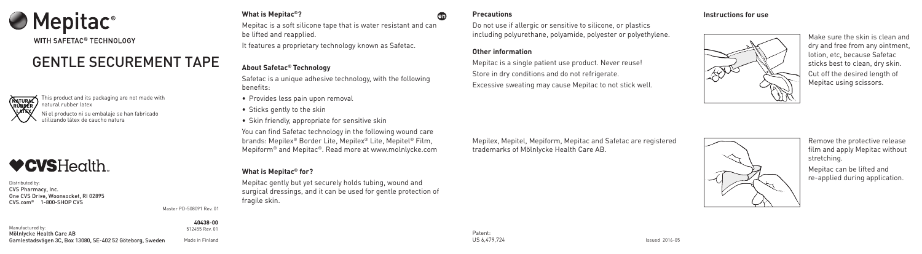

WITH SAFETAC<sup>®</sup> TECHNOLOGY

**40438-00** 512455 Rev. 01

Master PD-508091 Rev. 01

Made in Finland

### **What is Mepitac®?**

Mepitac is a soft silicone tape that is water resistant and can be lifted and reapplied.

It features a proprietary technology known as Safetac.

### **About Safetac® Technology**

Safetac is a unique adhesive technology, with the following benefits:

- Provides less pain upon removal
- Sticks gently to the skin
- Skin friendly, appropriate for sensitive skin

You can find Safetac technology in the following wound care brands: Mepilex® Border Lite, Mepilex® Lite, Mepitel® Film, Mepiform® and Mepitac®. Read more at www.molnlycke.com

### **What is Mepitac® for?**

Mepitac gently but yet securely holds tubing, wound and surgical dressings, and it can be used for gentle protection of fragile skin.

**Precautions**

**en** 

Do not use if allergic or sensitive to silicone, or plastics including polyurethane, polyamide, polyester or polyethylene.

**Other information**

Mepitac is a single patient use product. Never reuse! Store in dry conditions and do not refrigerate.

Excessive sweating may cause Mepitac to not stick well.



Mepilex, Mepitel, Mepiform, Mepitac and Safetac are registered trademarks of Mölnlycke Health Care AB.

Make sure the skin is clean and dry and free from any ointment, lotion, etc, because Safetac sticks best to clean, dry skin. Cut off the desired length of Mepitac using scissors.

Remove the protective release film and apply Mepitac without stretching.

Mepitac can be lifted and re-applied during application.

#### **Instructions for use**



## GENTLE SECUREMENT TAPE

Manufactured by: Mölnlycke Health Care AB Gamlestadsvägen 3C, Box 13080, SE-402 52 Göteborg, Sweden

Distributed by: CVS Pharmacy, Inc. One CVS Drive, Woonsocket, RI 02895 CVS.com® 1-800-SHOP CVS



This product and its packaging are not made with natural rubber latex

Ni el producto ni su embalaje se han fabricado utilizando látex de caucho natura

# **♥CVSHealth**